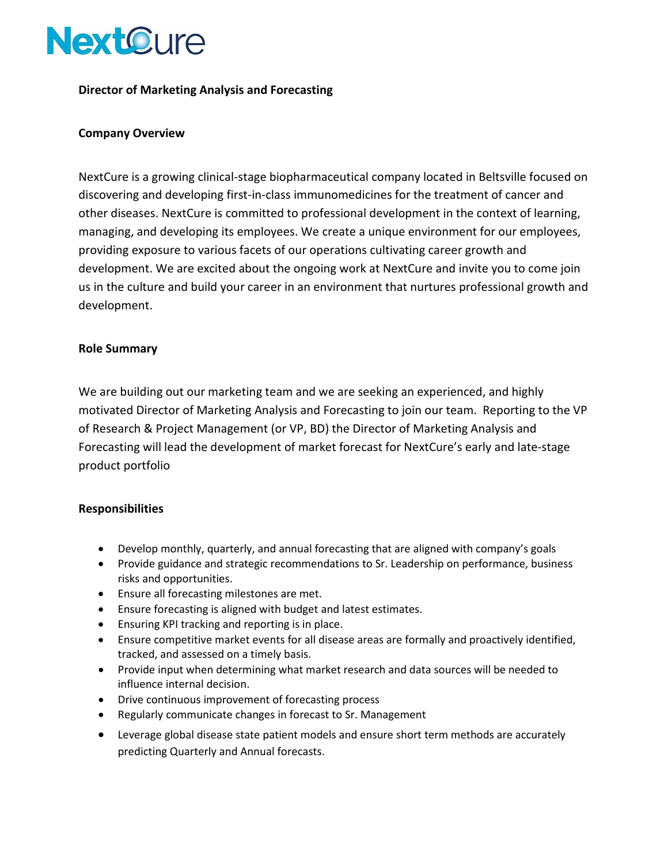

## **Director of Marketing Analysis and Forecasting**

## **Company Overview**

NextCure is a growing clinical-stage biopharmaceutical company located in Beltsville focused on discovering and developing first-in-class immunomedicines for the treatment of cancer and other diseases. NextCure is committed to professional development in the context of learning, managing, and developing its employees. We create a unique environment for our employees, providing exposure to various facets of our operations cultivating career growth and development. We are excited about the ongoing work at NextCure and invite you to come join us in the culture and build your career in an environment that nurtures professional growth and development.

## **Role Summary**

We are building out our marketing team and we are seeking an experienced, and highly motivated Director of Marketing Analysis and Forecasting to join our team. Reporting to the VP of Research & Project Management (or VP, BD) the Director of Marketing Analysis and Forecasting will lead the development of market forecast for NextCure's early and late-stage product portfolio

#### **Responsibilities**

- Develop monthly, quarterly, and annual forecasting that are aligned with company's goals
- Provide guidance and strategic recommendations to Sr. Leadership on performance, business risks and opportunities.
- Ensure all forecasting milestones are met.
- Ensure forecasting is aligned with budget and latest estimates.
- Ensuring KPI tracking and reporting is in place.
- Ensure competitive market events for all disease areas are formally and proactively identified, tracked, and assessed on a timely basis.
- Provide input when determining what market research and data sources will be needed to influence internal decision.
- Drive continuous improvement of forecasting process
- Regularly communicate changes in forecast to Sr. Management
- Leverage global disease state patient models and ensure short term methods are accurately predicting Quarterly and Annual forecasts.